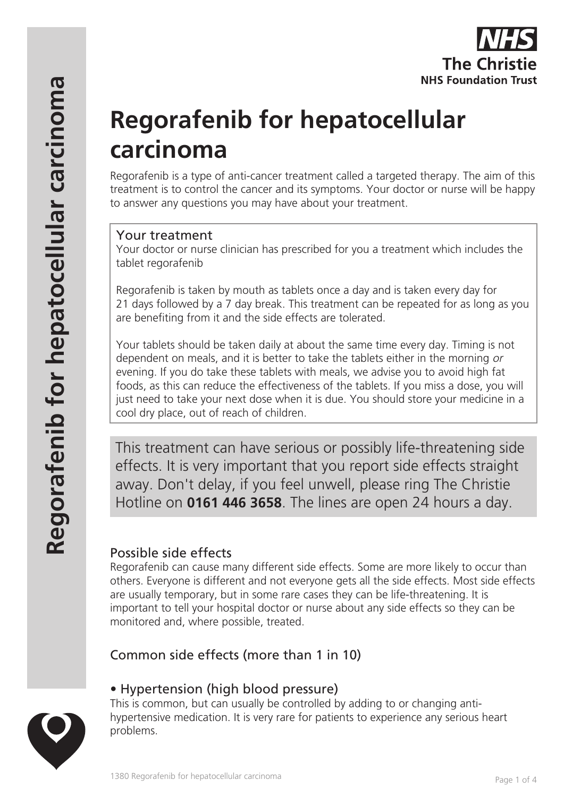

# **Regorafenib for hepatocellular carcinoma**

Regorafenib is a type of anti-cancer treatment called a targeted therapy. The aim of this treatment is to control the cancer and its symptoms. Your doctor or nurse will be happy to answer any questions you may have about your treatment.

#### Your treatment

Your doctor or nurse clinician has prescribed for you a treatment which includes the tablet regorafenib

Regorafenib is taken by mouth as tablets once a day and is taken every day for 21 days followed by a 7 day break. This treatment can be repeated for as long as you are benefiting from it and the side effects are tolerated.

Your tablets should be taken daily at about the same time every day. Timing is not dependent on meals, and it is better to take the tablets either in the morning or evening. If you do take these tablets with meals, we advise you to avoid high fat foods, as this can reduce the effectiveness of the tablets. If you miss a dose, you will just need to take your next dose when it is due. You should store your medicine in a cool dry place, out of reach of children.

This treatment can have serious or possibly life-threatening side effects. It is very important that you report side effects straight away. Don't delay, if you feel unwell, please ring The Christie Hotline on **0161 446 3658**. The lines are open 24 hours a day.

# Possible side effects

Regorafenib can cause many different side effects. Some are more likely to occur than others. Everyone is different and not everyone gets all the side effects. Most side effects are usually temporary, but in some rare cases they can be life-threatening. It is important to tell your hospital doctor or nurse about any side effects so they can be monitored and, where possible, treated.

Common side effects (more than 1 in 10)

## • Hypertension (high blood pressure)

This is common, but can usually be controlled by adding to or changing antihypertensive medication. It is very rare for patients to experience any serious heart problems.

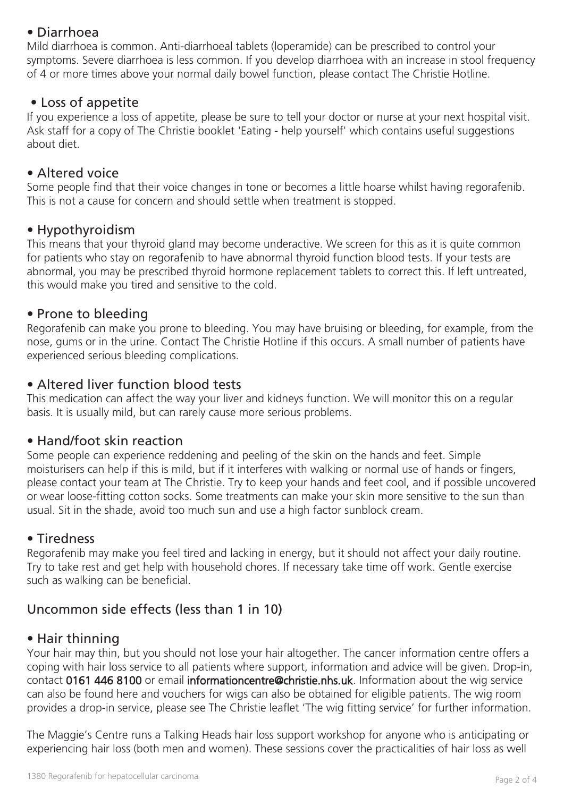## • Diarrhoea

Mild diarrhoea is common. Anti-diarrhoeal tablets (loperamide) can be prescribed to control your symptoms. Severe diarrhoea is less common. If you develop diarrhoea with an increase in stool frequency of 4 or more times above your normal daily bowel function, please contact The Christie Hotline.

#### • Loss of appetite

If you experience a loss of appetite, please be sure to tell your doctor or nurse at your next hospital visit. Ask staff for a copy of The Christie booklet 'Eating - help yourself' which contains useful suggestions about diet.

## • Altered voice

Some people find that their voice changes in tone or becomes a little hoarse whilst having regorafenib. This is not a cause for concern and should settle when treatment is stopped.

#### • Hypothyroidism

This means that your thyroid gland may become underactive. We screen for this as it is quite common for patients who stay on regorafenib to have abnormal thyroid function blood tests. If your tests are abnormal, you may be prescribed thyroid hormone replacement tablets to correct this. If left untreated, this would make you tired and sensitive to the cold.

#### • Prone to bleeding

Regorafenib can make you prone to bleeding. You may have bruising or bleeding, for example, from the nose, gums or in the urine. Contact The Christie Hotline if this occurs. A small number of patients have experienced serious bleeding complications.

## • Altered liver function blood tests

This medication can affect the way your liver and kidneys function. We will monitor this on a regular basis. It is usually mild, but can rarely cause more serious problems.

#### • Hand/foot skin reaction

Some people can experience reddening and peeling of the skin on the hands and feet. Simple moisturisers can help if this is mild, but if it interferes with walking or normal use of hands or fingers, please contact your team at The Christie. Try to keep your hands and feet cool, and if possible uncovered or wear loose-fitting cotton socks. Some treatments can make your skin more sensitive to the sun than usual. Sit in the shade, avoid too much sun and use a high factor sunblock cream.

#### • Tiredness

Regorafenib may make you feel tired and lacking in energy, but it should not affect your daily routine. Try to take rest and get help with household chores. If necessary take time off work. Gentle exercise such as walking can be beneficial.

# Uncommon side effects (less than 1 in 10)

#### • Hair thinning

Your hair may thin, but you should not lose your hair altogether. The cancer information centre offers a coping with hair loss service to all patients where support, information and advice will be given. Drop-in, contact 0161 446 8100 or email informationcentre@christie.nhs.uk. Information about the wig service can also be found here and vouchers for wigs can also be obtained for eligible patients. The wig room provides a drop-in service, please see The Christie leaflet 'The wig fitting service' for further information.

The Maggie's Centre runs a Talking Heads hair loss support workshop for anyone who is anticipating or experiencing hair loss (both men and women). These sessions cover the practicalities of hair loss as well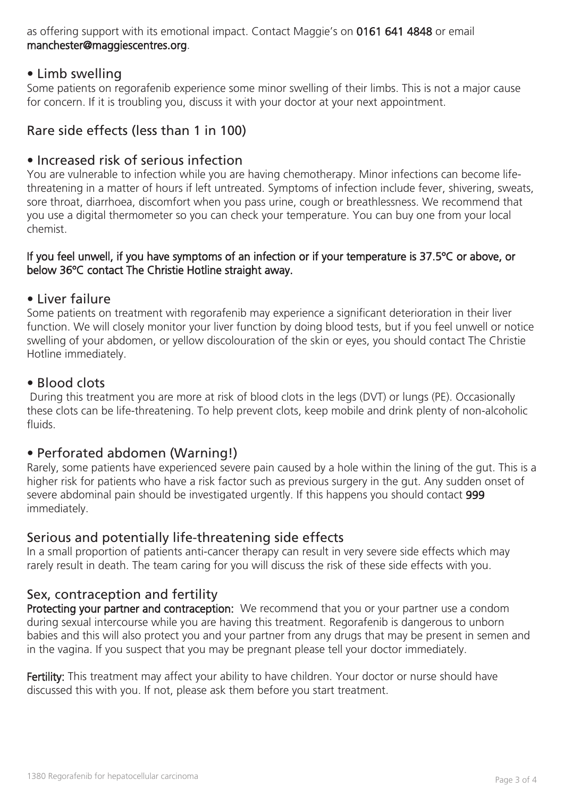as offering support with its emotional impact. Contact Maggie's on 0161 641 4848 or email manchester@maggiescentres.org.

#### • Limb swelling

Some patients on regorafenib experience some minor swelling of their limbs. This is not a major cause for concern. If it is troubling you, discuss it with your doctor at your next appointment.

## Rare side effects (less than 1 in 100)

#### • Increased risk of serious infection

You are vulnerable to infection while you are having chemotherapy. Minor infections can become lifethreatening in a matter of hours if left untreated. Symptoms of infection include fever, shivering, sweats, sore throat, diarrhoea, discomfort when you pass urine, cough or breathlessness. We recommend that you use a digital thermometer so you can check your temperature. You can buy one from your local chemist.

#### If you feel unwell, if you have symptoms of an infection or if your temperature is 37.5ºC or above, or below 36ºC contact The Christie Hotline straight away.

#### • Liver failure

Some patients on treatment with regorafenib may experience a significant deterioration in their liver function. We will closely monitor your liver function by doing blood tests, but if you feel unwell or notice swelling of your abdomen, or yellow discolouration of the skin or eyes, you should contact The Christie Hotline immediately.

#### • Blood clots

 During this treatment you are more at risk of blood clots in the legs (DVT) or lungs (PE). Occasionally these clots can be life-threatening. To help prevent clots, keep mobile and drink plenty of non-alcoholic fluids.

#### • Perforated abdomen (Warning!)

Rarely, some patients have experienced severe pain caused by a hole within the lining of the gut. This is a higher risk for patients who have a risk factor such as previous surgery in the gut. Any sudden onset of severe abdominal pain should be investigated urgently. If this happens you should contact 999 immediately.

#### Serious and potentially life-threatening side effects

In a small proportion of patients anti-cancer therapy can result in very severe side effects which may rarely result in death. The team caring for you will discuss the risk of these side effects with you.

#### Sex, contraception and fertility

Protecting your partner and contraception: We recommend that you or your partner use a condom during sexual intercourse while you are having this treatment. Regorafenib is dangerous to unborn babies and this will also protect you and your partner from any drugs that may be present in semen and in the vagina. If you suspect that you may be pregnant please tell your doctor immediately.

Fertility: This treatment may affect your ability to have children. Your doctor or nurse should have discussed this with you. If not, please ask them before you start treatment.